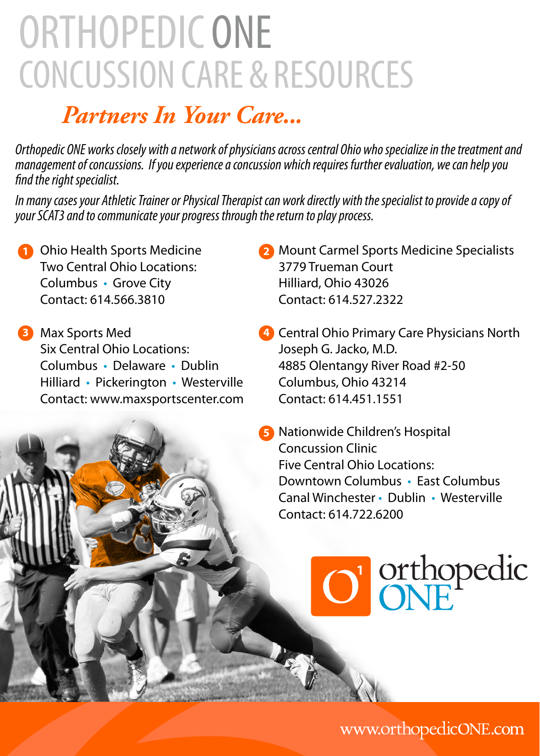## ORTHOPEDIC ONE Concussion Care & resources

### *Partners In Your Care...*

*Orthopedic ONE works closely with a network of physicians across central Ohio who specialize in the treatment and management of concussions. If you experience a concussion which requires further evaluation, we can help you find the right specialist.* 

*In many cases your Athletic Trainer or Physical Therapist can work directly with the specialist to provide a copy of your SCAT3 and to communicate your progress through the return to play process.*

- **1** Ohio Health Sports Medicine Two Central Ohio Locations: Columbus • Grove City Contact: 614.566.3810
- Max Sports Med **3** Six Central Ohio Locations: Columbus • Delaware • Dublin Hilliard • Pickerington • Westerville Contact: www.maxsportscenter.com
- 2 Mount Carmel Sports Medicine Specialists 3779 Trueman Court Hilliard, Ohio 43026 Contact: 614.527.2322
- Central Ohio Primary Care Physicians North **4** Joseph G. Jacko, M.D. 4885 Olentangy River Road #2-50 Columbus, Ohio 43214 Contact: 614.451.1551
- **5** Nationwide Children's Hospital Concussion Clinic Five Central Ohio Locations: Downtown Columbus • East Columbus Canal Winchester • Dublin • Westerville Contact: 614.722.6200

O' orthopedic